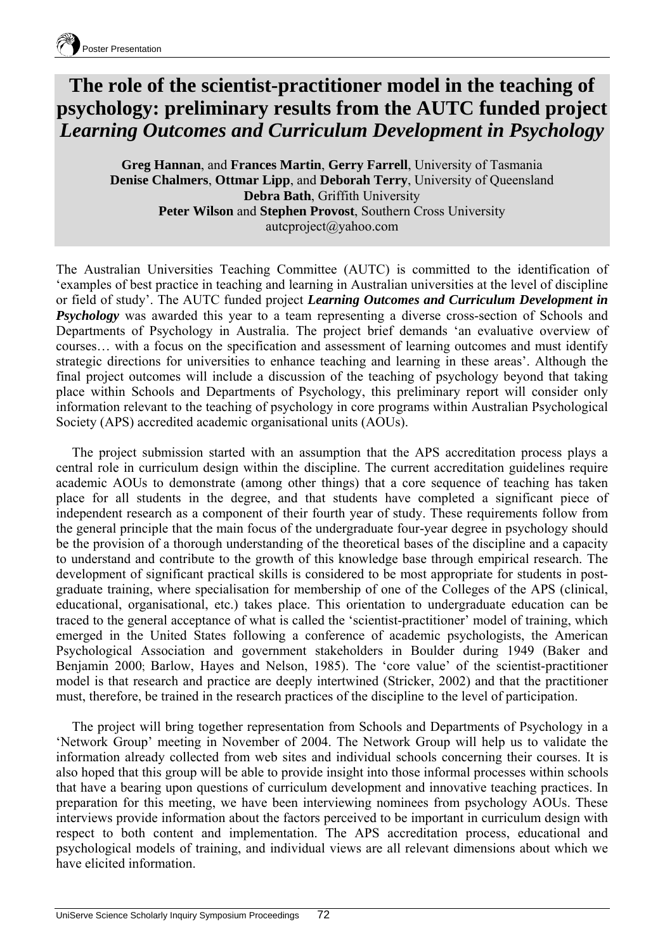## **The role of the scientist-practitioner model in the teaching of psychology: preliminary results from the AUTC funded project**  *Learning Outcomes and Curriculum Development in Psychology*

**Greg Hannan**, and **Frances Martin**, **Gerry Farrell**, University of Tasmania **Denise Chalmers**, **Ottmar Lipp**, and **Deborah Terry**, University of Queensland **Debra Bath**, Griffith University **Peter Wilson** and **Stephen Provost**, Southern Cross University autcproject@yahoo.com

The Australian Universities Teaching Committee (AUTC) is committed to the identification of 'examples of best practice in teaching and learning in Australian universities at the level of discipline or field of study'. The AUTC funded project *Learning Outcomes and Curriculum Development in Psychology* was awarded this year to a team representing a diverse cross-section of Schools and Departments of Psychology in Australia. The project brief demands 'an evaluative overview of courses… with a focus on the specification and assessment of learning outcomes and must identify strategic directions for universities to enhance teaching and learning in these areas'. Although the final project outcomes will include a discussion of the teaching of psychology beyond that taking place within Schools and Departments of Psychology, this preliminary report will consider only information relevant to the teaching of psychology in core programs within Australian Psychological Society (APS) accredited academic organisational units (AOUs).

The project submission started with an assumption that the APS accreditation process plays a central role in curriculum design within the discipline. The current accreditation guidelines require academic AOUs to demonstrate (among other things) that a core sequence of teaching has taken place for all students in the degree, and that students have completed a significant piece of independent research as a component of their fourth year of study. These requirements follow from the general principle that the main focus of the undergraduate four-year degree in psychology should be the provision of a thorough understanding of the theoretical bases of the discipline and a capacity to understand and contribute to the growth of this knowledge base through empirical research. The development of significant practical skills is considered to be most appropriate for students in postgraduate training, where specialisation for membership of one of the Colleges of the APS (clinical, educational, organisational, etc.) takes place. This orientation to undergraduate education can be traced to the general acceptance of what is called the 'scientist-practitioner' model of training, which emerged in the United States following a conference of academic psychologists, the American Psychological Association and government stakeholders in Boulder during 1949 (Baker and Benjamin 2000; Barlow, Hayes and Nelson, 1985). The 'core value' of the scientist-practitioner model is that research and practice are deeply intertwined (Stricker, 2002) and that the practitioner must, therefore, be trained in the research practices of the discipline to the level of participation.

The project will bring together representation from Schools and Departments of Psychology in a 'Network Group' meeting in November of 2004. The Network Group will help us to validate the information already collected from web sites and individual schools concerning their courses. It is also hoped that this group will be able to provide insight into those informal processes within schools that have a bearing upon questions of curriculum development and innovative teaching practices. In preparation for this meeting, we have been interviewing nominees from psychology AOUs. These interviews provide information about the factors perceived to be important in curriculum design with respect to both content and implementation. The APS accreditation process, educational and psychological models of training, and individual views are all relevant dimensions about which we have elicited information.